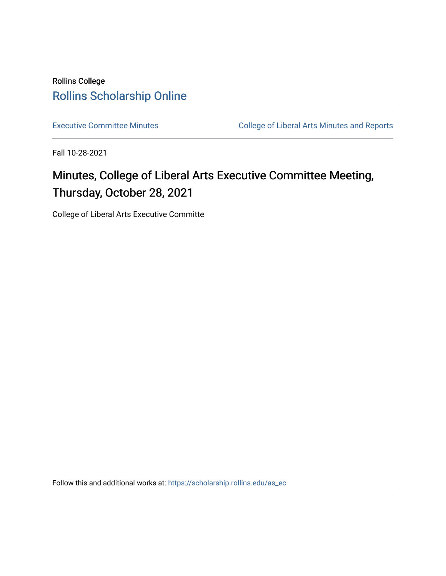# Rollins College [Rollins Scholarship Online](https://scholarship.rollins.edu/)

[Executive Committee Minutes](https://scholarship.rollins.edu/as_ec) **College of Liberal Arts Minutes and Reports** 

Fall 10-28-2021

# Minutes, College of Liberal Arts Executive Committee Meeting, Thursday, October 28, 2021

College of Liberal Arts Executive Committe

Follow this and additional works at: [https://scholarship.rollins.edu/as\\_ec](https://scholarship.rollins.edu/as_ec?utm_source=scholarship.rollins.edu%2Fas_ec%2F234&utm_medium=PDF&utm_campaign=PDFCoverPages)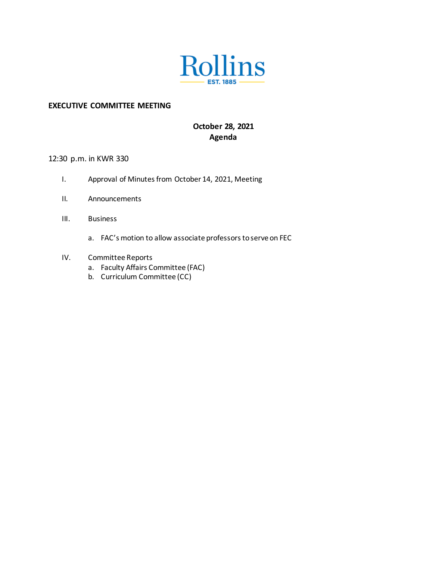

#### **EXECUTIVE COMMITTEE MEETING**

### **October 28, 2021 Agenda**

### 12:30 p.m. in KWR 330

- I. Approval of Minutes from October 14, 2021, Meeting
- II. Announcements
- III. Business
	- a. FAC's motion to allow associate professors to serve on FEC
- IV. Committee Reports
	- a. Faculty Affairs Committee (FAC)
	- b. Curriculum Committee (CC)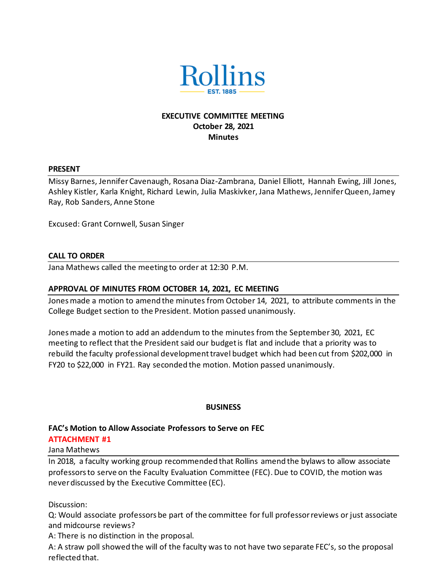

### **EXECUTIVE COMMITTEE MEETING October 28, 2021 Minutes**

#### **PRESENT**

Missy Barnes, Jennifer Cavenaugh, Rosana Diaz-Zambrana, Daniel Elliott, Hannah Ewing, Jill Jones, Ashley Kistler, Karla Knight, Richard Lewin, Julia Maskivker, Jana Mathews, Jennifer Queen, Jamey Ray, Rob Sanders, Anne Stone

Excused: Grant Cornwell, Susan Singer

#### **CALL TO ORDER**

Jana Mathews called the meeting to order at 12:30 P.M.

#### **APPROVAL OF MINUTES FROM OCTOBER 14, 2021, EC MEETING**

Jones made a motion to amend the minutes from October 14, 2021, to attribute comments in the College Budget section to the President. Motion passed unanimously.

Jones made a motion to add an addendum to the minutes from the September 30, 2021, EC meeting to reflect that the President said our budget is flat and include that a priority was to rebuild the faculty professional development travel budget which had been cut from \$202,000 in FY20 to \$22,000 in FY21. Ray seconded the motion. Motion passed unanimously.

#### **BUSINESS**

# **FAC's Motion to Allow Associate Professors to Serve on FEC**

#### **ATTACHMENT #1** Jana Mathews

In 2018, a faculty working group recommended that Rollins amend the bylaws to allow associate professors to serve on the Faculty Evaluation Committee (FEC). Due to COVID, the motion was never discussed by the Executive Committee (EC).

Discussion:

Q: Would associate professors be part of the committee for full professor reviews or just associate and midcourse reviews?

A: There is no distinction in the proposal.

A: A straw poll showed the will of the faculty was to not have two separate FEC's, so the proposal reflected that.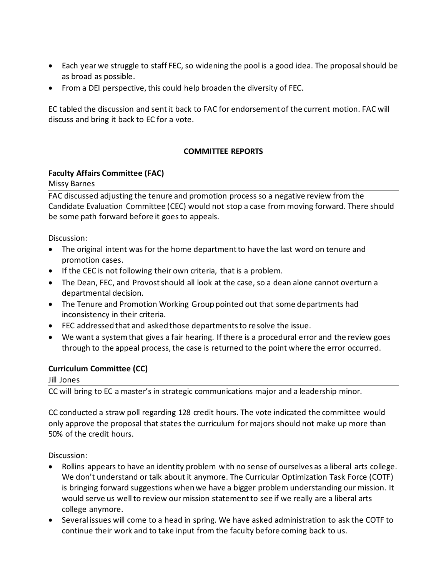- Each year we struggle to staff FEC, so widening the pool is a good idea. The proposal should be as broad as possible.
- From a DEI perspective, this could help broaden the diversity of FEC.

EC tabled the discussion and sent it back to FAC for endorsement of the current motion. FAC will discuss and bring it back to EC for a vote.

### **COMMITTEE REPORTS**

### **Faculty Affairs Committee (FAC)**

Missy Barnes

FAC discussed adjusting the tenure and promotion process so a negative review from the Candidate Evaluation Committee (CEC) would not stop a case from moving forward. There should be some path forward before it goes to appeals.

Discussion:

- The original intent was for the home department to have the last word on tenure and promotion cases.
- If the CEC is not following their own criteria, that is a problem.
- The Dean, FEC, and Provost should all look at the case, so a dean alone cannot overturn a departmental decision.
- The Tenure and Promotion Working Group pointed out that some departments had inconsistency in their criteria.
- FEC addressed that and asked those departments to resolve the issue.
- We want a system that gives a fair hearing. If there is a procedural error and the review goes through to the appeal process, the case is returned to the point where the error occurred.

### **Curriculum Committee (CC)**

Jill Jones

CC will bring to EC a master's in strategic communications major and a leadership minor.

CC conducted a straw poll regarding 128 credit hours. The vote indicated the committee would only approve the proposal that states the curriculum for majors should not make up more than 50% of the credit hours.

Discussion:

- Rollins appears to have an identity problem with no sense of ourselves as a liberal arts college. We don't understand or talk about it anymore. The Curricular Optimization Task Force (COTF) is bringing forward suggestions when we have a bigger problem understanding our mission. It would serve us well to review our mission statement to see if we really are a liberal arts college anymore.
- Several issues will come to a head in spring. We have asked administration to ask the COTF to continue their work and to take input from the faculty before coming back to us.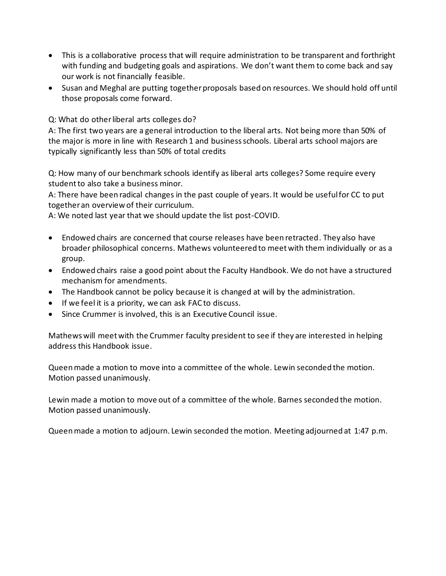- This is a collaborative process that will require administration to be transparent and forthright with funding and budgeting goals and aspirations. We don't want them to come back and say our work is not financially feasible.
- Susan and Meghal are putting together proposals based on resources. We should hold off until those proposals come forward.

Q: What do other liberal arts colleges do?

A: The first two years are a general introduction to the liberal arts. Not being more than 50% of the major is more in line with Research 1 and business schools. Liberal arts school majors are typically significantly less than 50% of total credits

Q: How many of our benchmark schools identify as liberal arts colleges? Some require every student to also take a business minor.

A: There have been radical changes in the past couple of years. It would be useful for CC to put together an overview of their curriculum.

A: We noted last year that we should update the list post-COVID.

- Endowed chairs are concerned that course releases have been retracted. They also have broader philosophical concerns. Mathews volunteered to meet with them individually or as a group.
- Endowed chairs raise a good point about the Faculty Handbook. We do not have a structured mechanism for amendments.
- The Handbook cannot be policy because it is changed at will by the administration.
- If we feel it is a priority, we can ask FAC to discuss.
- Since Crummer is involved, this is an Executive Council issue.

Mathews will meet with the Crummer faculty president to see if they are interested in helping address this Handbook issue.

Queen made a motion to move into a committee of the whole. Lewin seconded the motion. Motion passed unanimously.

Lewin made a motion to move out of a committee of the whole. Barnes seconded the motion. Motion passed unanimously.

Queen made a motion to adjourn. Lewin seconded the motion. Meeting adjourned at 1:47 p.m.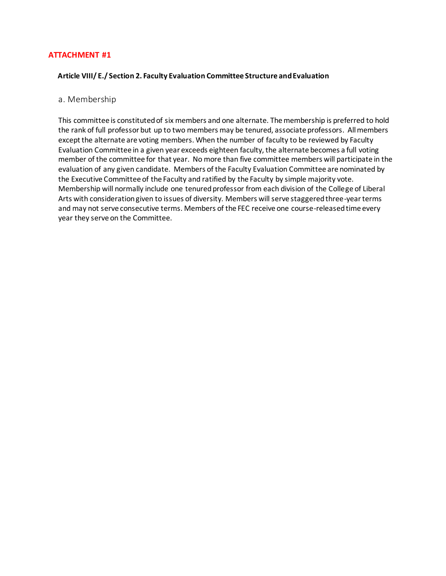#### **ATTACHMENT #1**

#### **Article VIII/ E./ Section 2. Faculty Evaluation Committee Structure and Evaluation**

#### a. Membership

This committee is constituted of six members and one alternate. The membership is preferred to hold the rank of full professor but up to two members may be tenured, associate professors. All members except the alternate are voting members. When the number of faculty to be reviewed by Faculty Evaluation Committee in a given year exceeds eighteen faculty, the alternate becomes a full voting member of the committee for that year. No more than five committee members will participate in the evaluation of any given candidate. Members of the Faculty Evaluation Committee are nominated by the Executive Committee of the Faculty and ratified by the Faculty by simple majority vote. Membership will normally include one tenured professor from each division of the College of Liberal Arts with consideration given to issues of diversity. Members will serve staggered three-year terms and may not serve consecutive terms. Members of the FEC receive one course-released time every year they serve on the Committee.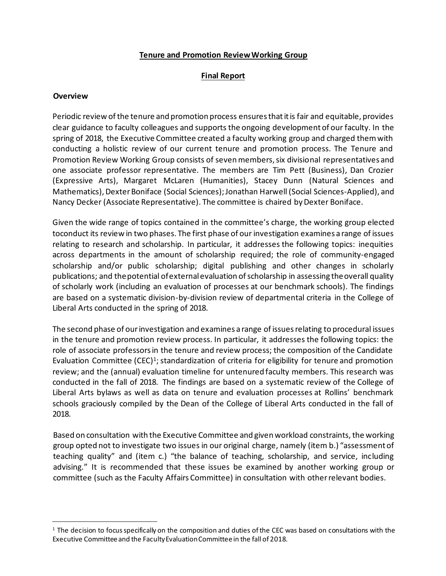#### **Tenure and Promotion ReviewWorking Group**

### **Final Report**

#### **Overview**

Periodic review of the tenure and promotion process ensures that it is fair and equitable, provides clear guidance to faculty colleagues and supports the ongoing development of our faculty. In the spring of 2018, the Executive Committee created a faculty working group and charged them with conducting a holistic review of our current tenure and promotion process. The Tenure and Promotion Review Working Group consists of seven members, six divisional representatives and one associate professor representative. The members are Tim Pett (Business), Dan Crozier (Expressive Arts), Margaret McLaren (Humanities), Stacey Dunn (Natural Sciences and Mathematics), Dexter Boniface (Social Sciences); Jonathan Harwell (Social Sciences-Applied), and Nancy Decker (Associate Representative). The committee is chaired by Dexter Boniface.

Given the wide range of topics contained in the committee's charge, the working group elected toconduct its review in two phases. The first phase of our investigation examines a range of issues relating to research and scholarship. In particular, it addresses the following topics: inequities across departments in the amount of scholarship required; the role of community-engaged scholarship and/or public scholarship; digital publishing and other changes in scholarly publications; and thepotential ofexternalevaluation ofscholarship in assessing theoverall quality of scholarly work (including an evaluation of processes at our benchmark schools). The findings are based on a systematic division-by-division review of departmental criteria in the College of Liberal Arts conducted in the spring of 2018.

The second phase of our investigation and examines a range of issues relating to procedural issues in the tenure and promotion review process. In particular, it addresses the following topics: the role of associate professors in the tenure and review process; the composition of the Candidate Evaluation Committee (CEC)<sup>[1](#page-6-0)</sup>; standardization of criteria for eligibility for tenure and promotion review; and the (annual) evaluation timeline for untenured faculty members. This research was conducted in the fall of 2018. The findings are based on a systematic review of the College of Liberal Arts bylaws as well as data on tenure and evaluation processes at Rollins' benchmark schools graciously compiled by the Dean of the College of Liberal Arts conducted in the fall of 2018.

Based on consultation with the Executive Committee and given workload constraints, the working group opted not to investigate two issues in our original charge, namely (item b.) "assessment of teaching quality" and (item c.) "the balance of teaching, scholarship, and service, including advising." It is recommended that these issues be examined by another working group or committee (such as the Faculty Affairs Committee) in consultation with otherrelevant bodies.

<span id="page-6-0"></span><sup>&</sup>lt;sup>1</sup> The decision to focus specifically on the composition and duties of the CEC was based on consultations with the Executive Committee and the FacultyEvaluationCommittee in the fall of 2018.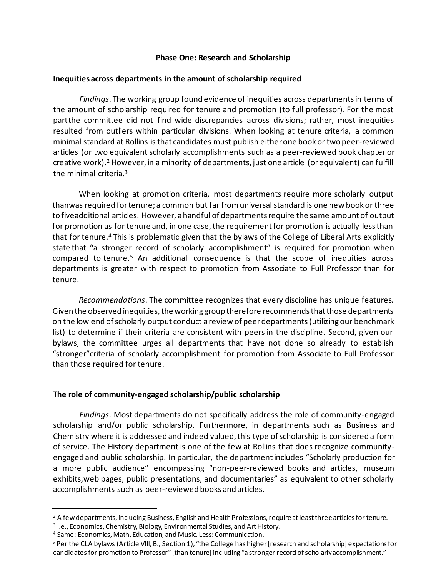### **Phase One: Research and Scholarship**

#### **Inequities across departments in the amount of scholarship required**

*Findings*. The working group found evidence of inequities across departments in terms of the amount of scholarship required for tenure and promotion (to full professor). For the most partthe committee did not find wide discrepancies across divisions; rather, most inequities resulted from outliers within particular divisions. When looking at tenure criteria, a common minimal standard at Rollins is that candidates must publish either one book or two peer-reviewed articles (or two equivalent scholarly accomplishments such as a peer-reviewed book chapter or creative work)[.](#page-7-0)<sup>2</sup> However, in a minority of departments, just one article (or equivalent) can fulfill the minimal criteria.[3](#page-7-1)

When looking at promotion criteria, most departments require more scholarly output thanwas required fortenure; a common but far fromuniversalstandard is one new book or three to fiveadditional articles. However, a handful of departments require the same amount of output for promotion as for tenure and, in one case, the requirement for promotion is actually less than that for tenur[e.](#page-7-2)<sup>4</sup> This is problematic given that the bylaws of the College of Liberal Arts explicitly state that "a stronger record of scholarly accomplishment" is required for promotion when compared to tenure[.](#page-7-3)<sup>5</sup> An additional consequence is that the scope of inequities across departments is greater with respect to promotion from Associate to Full Professor than for tenure.

*Recommendations*. The committee recognizes that every discipline has unique features. Given the observed inequities, the working group therefore recommends that those departments on the low end ofscholarly output conduct areview of peerdepartments(utilizing our benchmark list) to determine if their criteria are consistent with peers in the discipline. Second, given our bylaws, the committee urges all departments that have not done so already to establish "stronger"criteria of scholarly accomplishment for promotion from Associate to Full Professor than those required for tenure.

### **The role of community-engaged scholarship/public scholarship**

*Findings*. Most departments do not specifically address the role of community-engaged scholarship and/or public scholarship. Furthermore, in departments such as Business and Chemistry where it is addressed and indeed valued, this type of scholarship is considered a form of service. The History department is one of the few at Rollins that does recognize communityengaged and public scholarship. In particular, the departmentincludes "Scholarly production for a more public audience" encompassing "non-peer-reviewed books and articles, museum exhibits,web pages, public presentations, and documentaries" as equivalent to other scholarly accomplishments such as peer-reviewed books and articles.

<span id="page-7-0"></span><sup>&</sup>lt;sup>2</sup> A few departments, including Business, English and Health Professions, require at least three articles for tenure.

<span id="page-7-1"></span><sup>&</sup>lt;sup>3</sup> I.e., Economics, Chemistry, Biology, Environmental Studies, and Art History.

<span id="page-7-2"></span><sup>4</sup> Same: Economics, Math, Education, and Music. Less:Communication.

<span id="page-7-3"></span><sup>&</sup>lt;sup>5</sup> Per the CLA bylaws (Article VIII, B., Section 1), "the College has higher [research and scholarship] expectations for candidates for promotion to Professor" [than tenure] including "a stronger record of scholarly accomplishment."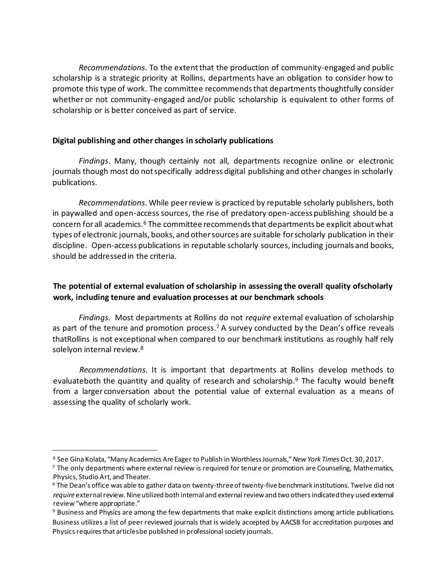*Recommendations*. To the extent that the production of community-engaged and public scholarship is a strategic priority at Rollins, departments have an obligation to consider how to promote this type of work. The committee recommends that departments thoughtfully consider whether or not community-engaged and/or public scholarship is equivalent to other forms of scholarship or is better conceived as part of service.

### **Digital publishing and other changes in scholarly publications**

*Findings*. Many, though certainly not all, departments recognize online or electronic journals though most do not specifically address digital publishing and other changes in scholarly publications.

*Recommendations*. While peer review is practiced by reputable scholarly publishers, both in paywalled and open-access sources, the rise of predatory open-access publishing should be a concern for all academics.<sup>[6](#page-8-0)</sup> The committee recommends that departments be explicit about what types of electronic journals, books, and othersources are suitable forscholarly publication in their discipline. Open-access publications in reputable scholarly sources, including journals and books, should be addressed in the criteria.

### **The potential of external evaluation of scholarship in assessing the overall quality ofscholarly work, including tenure and evaluation processes at our benchmark schools**

*Findings.* Most departments at Rollins do not *require* external evaluation of scholarship as part of the tenure and promotion process[.](#page-8-1)<sup>7</sup> A survey conducted by the Dean's office reveals thatRollins is not exceptional when compared to our benchmark institutions as roughly half rely solelyon internal review.<sup>[8](#page-8-2)</sup>

*Recommendations.* It is important that departments at Rollins develop methods to evaluateboth the quantity and quality of research and scholarship[.](#page-8-3)<sup>9</sup> The faculty would benefit from a larger conversation about the potential value of external evaluation as a means of assessing the quality of scholarly work.

<span id="page-8-0"></span><sup>6</sup> See Gina Kolata, "Many Academics AreEager to Publish in WorthlessJournals,"*NewYork Times*Oct. 30, 2017.

<span id="page-8-1"></span><sup>&</sup>lt;sup>7</sup> The only departments where external review is required for tenure or promotion are Counseling, Mathematics, Physics, Studio Art, and Theater.

<span id="page-8-2"></span><sup>&</sup>lt;sup>8</sup> The Dean's office was able to gather data on twenty-three of twenty-five benchmark institutions. Twelve did not *require* external review.Nine utilized both internal and external review and two others indicated they used external review"where appropriate."

<span id="page-8-3"></span><sup>9</sup> Business and Physics are among the few departments that make explicit distinctions among article publications. Business utilizes a list of peer reviewed journals that is widely accepted by AACSB for accreditation purposes and Physics requires that articles be published in professional society journals.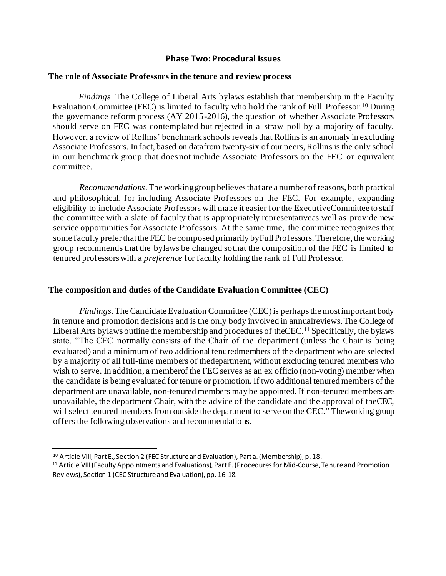#### **Phase Two: Procedural Issues**

#### **The role of Associate Professors in the tenure and review process**

*Findings*. The College of Liberal Arts bylaws establish that membership in the Faculty Evaluation Committee (FEC) is limited to faculty who hold the rank of Full Professo[r.](#page-9-0)<sup>10</sup> During the governance reform process (AY 2015-2016), the question of whether Associate Professors should serve on FEC was contemplated but rejected in a straw poll by a majority of faculty. However, a review of Rollins' benchmark schools revealsthat Rollins is an anomaly in excluding Associate Professors. Infact, based on datafrom twenty-six of our peers, Rollins is the only school in our benchmark group that doesnot include Associate Professors on the FEC or equivalent committee.

*Recommendations*. The working group believes that are a number of reasons, both practical and philosophical, for including Associate Professors on the FEC. For example, expanding eligibility to include Associate Professors will make it easier for the ExecutiveCommittee to staff the committee with a slate of faculty that is appropriately representativeas well as provide new service opportunities for Associate Professors. At the same time, the committee recognizes that some faculty preferthatthe FEC be composed primarily byFull Professors. Therefore, the working group recommends that the bylaws be changed sothat the composition of the FEC is limited to tenured professors with a *preference* for faculty holding the rank of Full Professor.

#### **The composition and duties of the Candidate Evaluation Committee (CEC)**

*Findings*. The Candidate Evaluation Committee (CEC) is perhaps the most important body in tenure and promotion decisions and is the only body involved in annualreviews.The College of Liberal Arts bylaws outline the membership and procedures of theCE[C.](#page-9-1)<sup>11</sup> Specifically, the bylaws state, "The CEC normally consists of the Chair of the department (unless the Chair is being evaluated) and a minimum of two additional tenuredmembers of the department who are selected by a majority of all full-time members of thedepartment, without excluding tenured members who wish to serve. In addition, a memberof the FEC serves as an ex officio (non-voting) member when the candidate is being evaluated for tenure or promotion. If two additional tenured members of the department are unavailable, non-tenured members may be appointed. If non-tenured members are unavailable, the department Chair, with the advice of the candidate and the approval of theCEC, will select tenured members from outside the department to serve on the CEC." The working group offers the following observations and recommendations.

<span id="page-9-0"></span><sup>&</sup>lt;sup>10</sup> Article VIII, Part E., Section 2 (FEC Structure and Evaluation), Part a. (Membership), p. 18.

<span id="page-9-1"></span><sup>&</sup>lt;sup>11</sup> Article VIII (Faculty Appointments and Evaluations), Part E. (Procedures for Mid-Course, Tenure and Promotion Reviews), Section 1 (CEC Structure and Evaluation), pp. 16-18.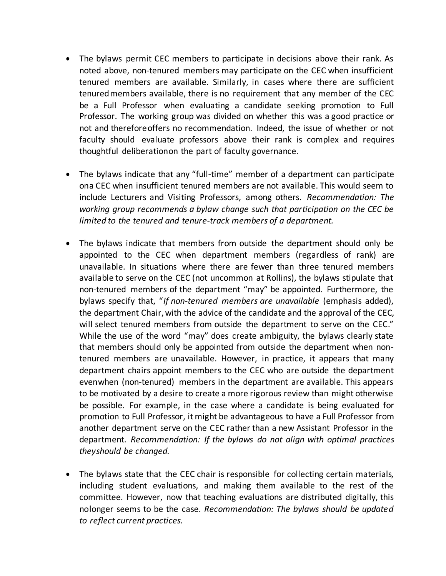- The bylaws permit CEC members to participate in decisions above their rank. As noted above, non-tenured members may participate on the CEC when insufficient tenured members are available. Similarly, in cases where there are sufficient tenuredmembers available, there is no requirement that any member of the CEC be a Full Professor when evaluating a candidate seeking promotion to Full Professor. The working group was divided on whether this was a good practice or not and thereforeoffers no recommendation. Indeed, the issue of whether or not faculty should evaluate professors above their rank is complex and requires thoughtful deliberationon the part of faculty governance.
- The bylaws indicate that any "full-time" member of a department can participate ona CEC when insufficient tenured members are not available. This would seem to include Lecturers and Visiting Professors, among others. *Recommendation: The working group recommends a bylaw change such that participation on the CEC be limited to the tenured and tenure-track members of a department.*
- The bylaws indicate that members from outside the department should only be appointed to the CEC when department members (regardless of rank) are unavailable. In situations where there are fewer than three tenured members available to serve on the CEC (not uncommon at Rollins), the bylaws stipulate that non-tenured members of the department "may" be appointed. Furthermore, the bylaws specify that, "*If non-tenured members are unavailable* (emphasis added), the department Chair, with the advice of the candidate and the approval of the CEC, will select tenured members from outside the department to serve on the CEC." While the use of the word "may" does create ambiguity, the bylaws clearly state that members should only be appointed from outside the department when nontenured members are unavailable. However, in practice, it appears that many department chairs appoint members to the CEC who are outside the department evenwhen (non-tenured) members in the department are available. This appears to be motivated by a desire to create a more rigorous review than might otherwise be possible. For example, in the case where a candidate is being evaluated for promotion to Full Professor, it might be advantageous to have a Full Professor from another department serve on the CEC rather than a new Assistant Professor in the department. *Recommendation: If the bylaws do not align with optimal practices theyshould be changed.*
- The bylaws state that the CEC chair is responsible for collecting certain materials, including student evaluations, and making them available to the rest of the committee. However, now that teaching evaluations are distributed digitally, this nolonger seems to be the case. *Recommendation: The bylaws should be updated to reflect current practices.*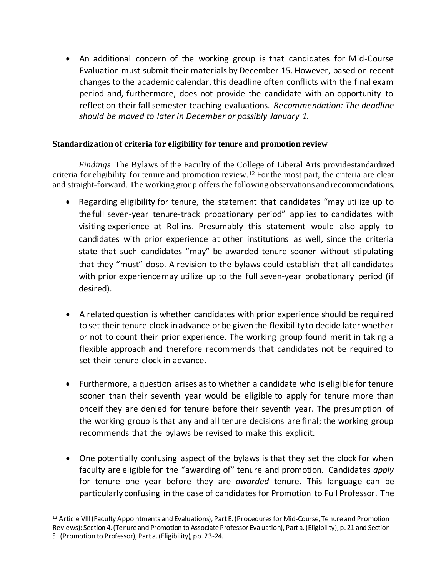• An additional concern of the working group is that candidates for Mid-Course Evaluation must submit their materials by December 15. However, based on recent changes to the academic calendar, this deadline often conflicts with the final exam period and, furthermore, does not provide the candidate with an opportunity to reflect on their fall semester teaching evaluations. *Recommendation: The deadline should be moved to later in December or possibly January 1.*

### **Standardization of criteria for eligibility for tenure and promotion review**

*Findings*. The Bylaws of the Faculty of the College of Liberal Arts providestandardized criteria for eligibility for tenure and promotion review.[12](#page-11-0) For the most part, the criteria are clear and straight-forward. The working group offers the following observations and recommendations.

- Regarding eligibility for tenure, the statement that candidates "may utilize up to the full seven-year tenure-track probationary period" applies to candidates with visiting experience at Rollins. Presumably this statement would also apply to candidates with prior experience at other institutions as well, since the criteria state that such candidates "may" be awarded tenure sooner without stipulating that they "must" doso. A revision to the bylaws could establish that all candidates with prior experiencemay utilize up to the full seven-year probationary period (if desired).
- A related question is whether candidates with prior experience should be required to set their tenure clock inadvance or be given the flexibility to decide later whether or not to count their prior experience. The working group found merit in taking a flexible approach and therefore recommends that candidates not be required to set their tenure clock in advance.
- Furthermore, a question arises as to whether a candidate who is eligible for tenure sooner than their seventh year would be eligible to apply for tenure more than onceif they are denied for tenure before their seventh year. The presumption of the working group is that any and all tenure decisions are final; the working group recommends that the bylaws be revised to make this explicit.
- One potentially confusing aspect of the bylaws is that they set the clock for when faculty are eligible for the "awarding of" tenure and promotion. Candidates *apply* for tenure one year before they are *awarded* tenure. This language can be particularly confusing in the case of candidates for Promotion to Full Professor. The

<span id="page-11-0"></span><sup>&</sup>lt;sup>12</sup> Article VIII (Faculty Appointments and Evaluations), Part E. (Procedures for Mid-Course, Tenure and Promotion Reviews): Section 4. (Tenure and Promotion to Associate Professor Evaluation), Part a. (Eligibility), p. 21 and Section 5. (Promotion to Professor), Part a.(Eligibility), pp. 23-24.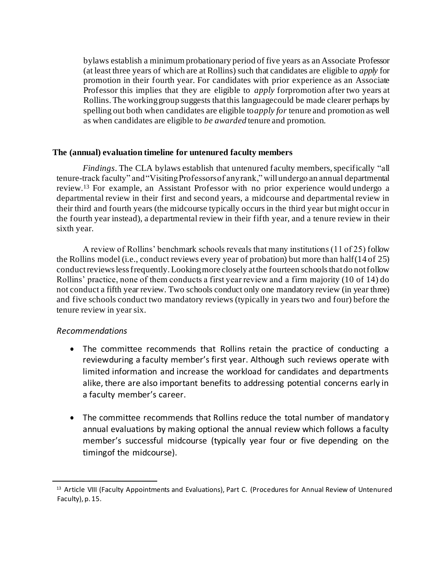bylaws establish a minimum probationary period of five years as an Associate Professor (at least three years of which are at Rollins) such that candidates are eligible to *apply* for promotion in their fourth year. For candidates with prior experience as an Associate Professor this implies that they are eligible to *apply* forpromotion after two years at Rollins. The workinggroup suggests thatthis languagecould be made clearer perhaps by spelling out both when candidates are eligible to*apply for* tenure and promotion as well as when candidates are eligible to *be awarded* tenure and promotion.

#### **The (annual) evaluation timeline for untenured faculty members**

*Findings*. The CLA bylaws establish that untenured faculty members, specifically "all tenure-track faculty" and "Visiting Professors of any rank," will undergo an annual departmental review.[13](#page-12-0) For example, an Assistant Professor with no prior experience would undergo a departmental review in their first and second years, a midcourse and departmental review in their third and fourth years (the midcourse typically occurs in the third year but might occur in the fourth year instead), a departmental review in their fifth year, and a tenure review in their sixth year.

A review of Rollins' benchmark schools reveals that many institutions (11 of 25) follow the Rollins model (i.e., conduct reviews every year of probation) but more than half(14 of 25) conduct reviews less frequently. Looking more closely at the fourteen schools that do not follow Rollins' practice, none of them conducts a first year review and a firm majority (10 of 14) do not conduct a fifth year review. Two schools conduct only one mandatory review (in year three) and five schools conduct two mandatory reviews (typically in years two and four) before the tenure review in year six.

### *Recommendations*

- The committee recommends that Rollins retain the practice of conducting a reviewduring a faculty member's first year. Although such reviews operate with limited information and increase the workload for candidates and departments alike, there are also important benefits to addressing potential concerns early in a faculty member's career.
- The committee recommends that Rollins reduce the total number of mandatory annual evaluations by making optional the annual review which follows a faculty member's successful midcourse (typically year four or five depending on the timingof the midcourse).

<span id="page-12-0"></span><sup>13</sup> Article VIII (Faculty Appointments and Evaluations), Part C. (Procedures for Annual Review of Untenured Faculty), p. 15.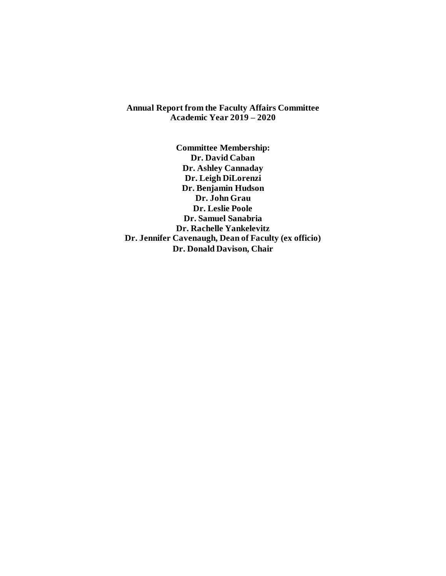**Annual Report from the Faculty Affairs Committee Academic Year 2019 – 2020**

**Committee Membership: Dr. David Caban Dr. Ashley Cannaday Dr. Leigh DiLorenzi Dr. Benjamin Hudson Dr. John Grau Dr. Leslie Poole Dr. Samuel Sanabria Dr. Rachelle Yankelevitz Dr. Jennifer Cavenaugh, Dean of Faculty (ex officio) Dr. Donald Davison, Chair**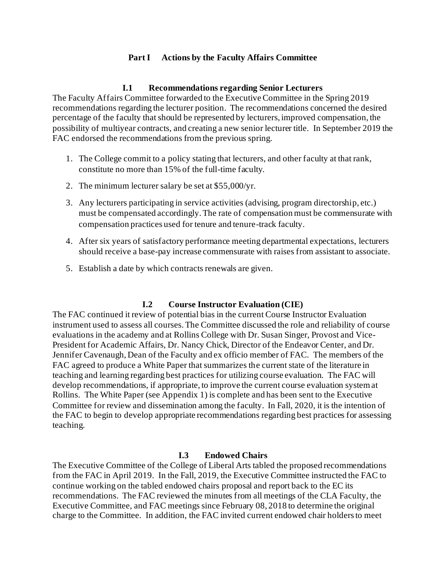### **Part I Actions by the Faculty Affairs Committee**

### **I.1 Recommendations regarding Senior Lecturers**

The Faculty Affairs Committee forwarded to the Executive Committee in the Spring 2019 recommendations regarding the lecturer position. The recommendations concerned the desired percentage of the faculty that should be represented by lecturers, improved compensation, the possibility of multiyear contracts, and creating a new senior lecturer title. In September 2019 the FAC endorsed the recommendations from the previous spring.

- 1. The College commit to a policy stating that lecturers, and other faculty at that rank, constitute no more than 15% of the full-time faculty.
- 2. The minimum lecturer salary be set at \$55,000/yr.
- 3. Any lecturers participating in service activities (advising, program directorship, etc.) must be compensated accordingly. The rate of compensation must be commensurate with compensation practices used for tenure and tenure-track faculty.
- 4. After six years of satisfactory performance meeting departmental expectations, lecturers should receive a base-pay increase commensurate with raises from assistant to associate.
- 5. Establish a date by which contracts renewals are given.

### **I.2 Course Instructor Evaluation (CIE)**

The FAC continued it review of potential bias in the current Course Instructor Evaluation instrument used to assess all courses. The Committee discussed the role and reliability of course evaluations in the academy and at Rollins College with Dr. Susan Singer, Provost and Vice-President for Academic Affairs, Dr. Nancy Chick, Director of the Endeavor Center, and Dr. Jennifer Cavenaugh, Dean of the Faculty and ex officio member of FAC. The members of the FAC agreed to produce a White Paper that summarizes the current state of the literature in teaching and learning regarding best practices for utilizing course evaluation. The FAC will develop recommendations, if appropriate, to improve the current course evaluation system at Rollins. The White Paper (see Appendix 1) is complete and has been sent to the Executive Committee for review and dissemination among the faculty. In Fall, 2020, it is the intention of the FAC to begin to develop appropriate recommendations regarding best practices for assessing teaching.

### **I.3 Endowed Chairs**

The Executive Committee of the College of Liberal Arts tabled the proposed recommendations from the FAC in April 2019. In the Fall, 2019, the Executive Committee instructed the FAC to continue working on the tabled endowed chairs proposal and report back to the EC its recommendations. The FAC reviewed the minutes from all meetings of the CLA Faculty, the Executive Committee, and FAC meetings since February 08, 2018 to determine the original charge to the Committee. In addition, the FAC invited current endowed chair holders to meet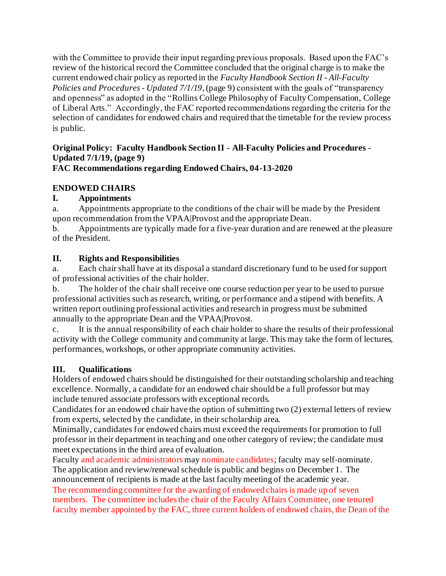with the Committee to provide their input regarding previous proposals. Based upon the FAC's review of the historical record the Committee concluded that the original charge is to make the current endowed chair policy as reported in the *Faculty Handbook Section II - All-Faculty Policies and Procedures - Updated 7/1/19*, (page 9) consistent with the goals of "transparency and openness" as adopted in the "Rollins College Philosophy of Faculty Compensation, College of Liberal Arts." Accordingly, the FAC reported recommendations regarding the criteria for the selection of candidates for endowed chairs and required that the timetable for the review process is public.

# **Original Policy: Faculty Handbook Section II - All-Faculty Policies and Procedures - Updated 7/1/19, (page 9)**

### **FAC Recommendations regarding Endowed Chairs, 04-13-2020**

### **ENDOWED CHAIRS**

### **I. Appointments**

a. Appointments appropriate to the conditions of the chair will be made by the President upon recommendation from the VPAA|Provost and the appropriate Dean.

b. Appointments are typically made for a five-year duration and are renewed at the pleasure of the President.

### **II. Rights and Responsibilities**

a. Each chair shall have at its disposal a standard discretionary fund to be used for support of professional activities of the chair holder.

b. The holder of the chair shall receive one course reduction per year to be used to pursue professional activities such as research, writing, or performance and a stipend with benefits. A written report outlining professional activities and research in progress must be submitted annually to the appropriate Dean and the VPAA|Provost.

c. It is the annual responsibility of each chair holder to share the results of their professional activity with the College community and community at large. This may take the form of lectures, performances, workshops, or other appropriate community activities.

### **III. Qualifications**

Holders of endowed chairs should be distinguished for their outstanding scholarship and teaching excellence. Normally, a candidate for an endowed chair should be a full professor but may include tenured associate professors with exceptional records.

Candidates for an endowed chair have the option of submitting two (2) external letters of review from experts, selected by the candidate, in their scholarship area.

Minimally, candidates for endowed chairs must exceed the requirements for promotion to full professor in their department in teaching and one other category of review; the candidate must meet expectations in the third area of evaluation.

Faculty and academic administrators may nominate candidates; faculty may self-nominate. The application and review/renewal schedule is public and begins on December 1. The announcement of recipients is made at the last faculty meeting of the academic year. The recommending committee for the awarding of endowed chairs is made up of seven members. The committee includes the chair of the Faculty Affairs Committee, one tenured faculty member appointed by the FAC, three current holders of endowed chairs, the Dean of the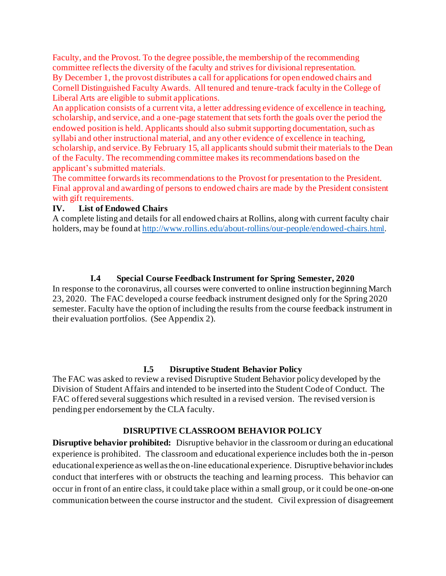Faculty, and the Provost. To the degree possible, the membership of the recommending committee reflects the diversity of the faculty and strives for divisional representation. By December 1, the provost distributes a call for applications for open endowed chairs and Cornell Distinguished Faculty Awards. All tenured and tenure-track faculty in the College of Liberal Arts are eligible to submit applications.

An application consists of a current vita, a letter addressing evidence of excellence in teaching, scholarship, and service, and a one-page statement that sets forth the goals over the period the endowed position is held. Applicants should also submit supporting documentation, such as syllabi and other instructional material, and any other evidence of excellence in teaching, scholarship, and service. By February 15, all applicants should submit their materials to the Dean of the Faculty. The recommending committee makes its recommendations based on the applicant's submitted materials.

The committee forwards its recommendations to the Provost for presentation to the President. Final approval and awarding of persons to endowed chairs are made by the President consistent with gift requirements.

### **IV. List of Endowed Chairs**

A complete listing and details for all endowed chairs at Rollins, along with current faculty chair holders, may be found a[t http://www.rollins.edu/about-rollins/our-people/endowed-chairs](http://www.rollins.edu/about-rollins/our-people/endowed-chairs.html)[.html](http://www.rollins.edu/about-rollins/our-people/endowed-chairs.html).

### **I.4 Special Course Feedback Instrument for Spring Semester, 2020**

In response to the coronavirus, all courses were converted to online instruction beginning March 23, 2020. The FAC developed a course feedback instrument designed only for the Spring 2020 semester. Faculty have the option of including the results from the course feedback instrument in their evaluation portfolios. (See Appendix 2).

### **I.5 Disruptive Student Behavior Policy**

The FAC was asked to review a revised Disruptive Student Behavior policy developed by the Division of Student Affairs and intended to be inserted into the Student Code of Conduct. The FAC offered several suggestions which resulted in a revised version. The revised version is pending per endorsement by the CLA faculty.

### **DISRUPTIVE CLASSROOM BEHAVIOR POLICY**

**Disruptive behavior prohibited:** Disruptive behavior in the classroom or during an educational experience is prohibited. The classroom and educational experience includes both the in-person educational experience as well as the on-line educational experience. Disruptive behavior includes conduct that interferes with or obstructs the teaching and learning process. This behavior can occur in front of an entire class, it could take place within a small group, or it could be one-on-one communication between the course instructor and the student. Civil expression of disagreement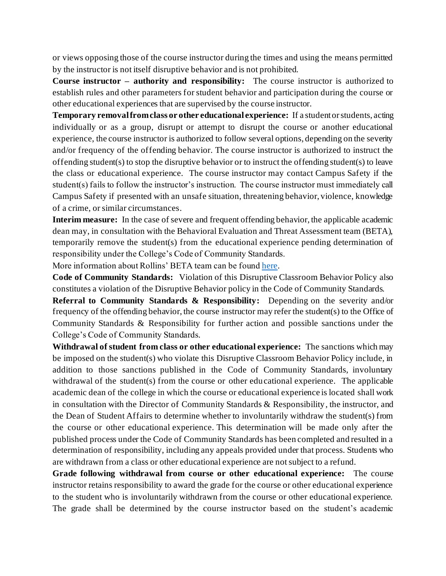or views opposing those of the course instructor during the times and using the means permitted by the instructor is not itself disruptive behavior and is not prohibited.

**Course instructor – authority and responsibility:** The course instructor is authorized to establish rules and other parameters for student behavior and participation during the course or other educational experiences that are supervised by the course instructor.

**Temporary removal from class or other educational experience:** If a student or students, acting individually or as a group, disrupt or attempt to disrupt the course or another educational experience, the course instructor is authorized to follow several options, depending on the severity and/or frequency of the offending behavior. The course instructor is authorized to instruct the offending student(s) to stop the disruptive behavior or to instruct the offending student(s) to leave the class or educational experience. The course instructor may contact Campus Safety if the student(s) fails to follow the instructor's instruction. The course instructor must immediately call Campus Safety if presented with an unsafe situation, threatening behavior, violence, knowledge of a crime, or similar circumstances.

**Interim measure:** In the case of severe and frequent offending behavior, the applicable academic dean may, in consultation with the Behavioral Evaluation and Threat Assessment team (BETA), temporarily remove the student(s) from the educational experience pending determination of responsibility under the College's Code of Community Standards.

More information about Rollins' BETA team can be foun[d here](https://www.rollins.edu/threat-assessment/).

**Code of Community Standards:** Violation of this Disruptive Classroom Behavior Policy also constitutes a violation of the Disruptive Behavior policy in the Code of Community Standards.

**Referral to Community Standards & Responsibility:** Depending on the severity and/or frequency of the offending behavior, the course instructor may refer the student(s) to the Office of Community Standards & Responsibility for further action and possible sanctions under the College's Code of Community Standards.

**Withdrawal of student from class or other educational experience:** The sanctions which may be imposed on the student(s) who violate this Disruptive Classroom Behavior Policy include, in addition to those sanctions published in the Code of Community Standards, involuntary withdrawal of the student(s) from the course or other educational experience. The applicable academic dean of the college in which the course or educational experience is located shall work in consultation with the Director of Community Standards & Responsibility, the instructor, and the Dean of Student Affairs to determine whether to involuntarily withdraw the student(s) from the course or other educational experience. This determination will be made only after the published process under the Code of Community Standards has been completed and resulted in a determination of responsibility, including any appeals provided under that process. Students who are withdrawn from a class or other educational experience are not subject to a refund.

**Grade following withdrawal from course or other educational experience:** The course instructor retains responsibility to award the grade for the course or other educational experience to the student who is involuntarily withdrawn from the course or other educational experience. The grade shall be determined by the course instructor based on the student's academic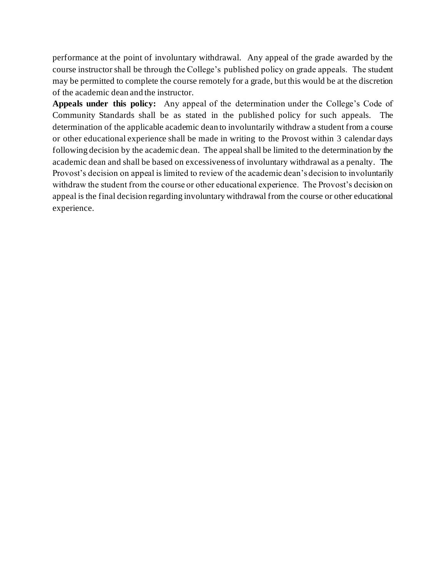performance at the point of involuntary withdrawal. Any appeal of the grade awarded by the course instructor shall be through the College's published policy on grade appeals. The student may be permitted to complete the course remotely for a grade, but this would be at the discretion of the academic dean and the instructor.

**Appeals under this policy:** Any appeal of the determination under the College's Code of Community Standards shall be as stated in the published policy for such appeals. The determination of the applicable academic dean to involuntarily withdraw a student from a course or other educational experience shall be made in writing to the Provost within 3 calendar days following decision by the academic dean. The appeal shall be limited to the determination by the academic dean and shall be based on excessiveness of involuntary withdrawal as a penalty. The Provost's decision on appeal is limited to review of the academic dean's decision to involuntarily withdraw the student from the course or other educational experience. The Provost's decision on appeal is the final decision regarding involuntary withdrawal from the course or other educational experience.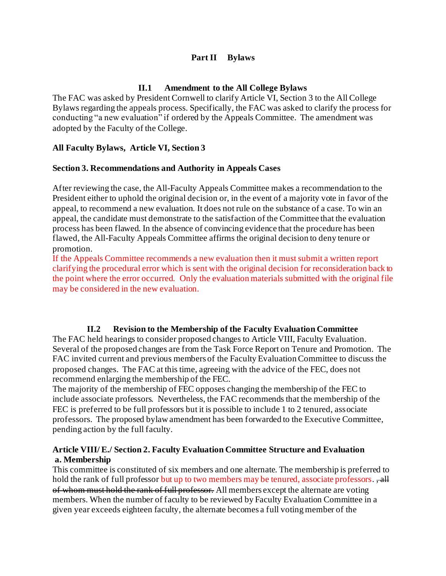### **Part II Bylaws**

### **II.1 Amendment to the All College Bylaws**

The FAC was asked by President Cornwell to clarify Article VI, Section 3 to the All College Bylaws regarding the appeals process. Specifically, the FAC was asked to clarify the process for conducting "a new evaluation" if ordered by the Appeals Committee. The amendment was adopted by the Faculty of the College.

### **All Faculty Bylaws, Article VI, Section 3**

### **Section 3. Recommendations and Authority in Appeals Cases**

After reviewing the case, the All-Faculty Appeals Committee makes a recommendation to the President either to uphold the original decision or, in the event of a majority vote in favor of the appeal, to recommend a new evaluation. It does not rule on the substance of a case. To win an appeal, the candidate must demonstrate to the satisfaction of the Committee that the evaluation process has been flawed. In the absence of convincing evidence that the procedure has been flawed, the All-Faculty Appeals Committee affirms the original decision to deny tenure or promotion.

If the Appeals Committee recommends a new evaluation then it must submit a written report clarifying the procedural error which is sent with the original decision for reconsideration back to the point where the error occurred. Only the evaluation materials submitted with the original file may be considered in the new evaluation.

### **II.2 Revision to the Membership of the Faculty Evaluation Committee**

The FAC held hearings to consider proposed changes to Article VIII, Faculty Evaluation. Several of the proposed changes are from the Task Force Report on Tenure and Promotion. The FAC invited current and previous members of the Faculty Evaluation Committee to discuss the proposed changes. The FAC at this time, agreeing with the advice of the FEC, does not recommend enlarging the membership of the FEC.

The majority of the membership of FEC opposes changing the membership of the FEC to include associate professors. Nevertheless, the FAC recommends that the membership of the FEC is preferred to be full professors but it is possible to include 1 to 2 tenured, associate professors. The proposed bylaw amendment has been forwarded to the Executive Committee, pending action by the full faculty.

### **Article VIII/ E./ Section 2. Faculty Evaluation Committee Structure and Evaluation a. Membership**

This committee is constituted of six members and one alternate. The membership is preferred to hold the rank of full professor but up to two members may be tenured, associate professors., all of whom must hold the rank of full professor. All members except the alternate are voting members. When the number of faculty to be reviewed by Faculty Evaluation Committee in a given year exceeds eighteen faculty, the alternate becomes a full voting member of the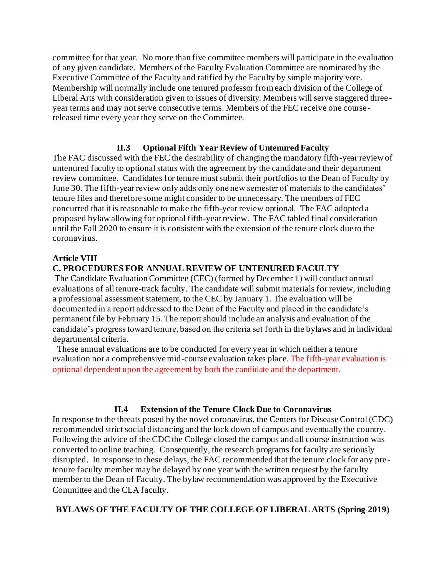committee for that year. No more than five committee members will participate in the evaluation of any given candidate. Members of the Faculty Evaluation Committee are nominated by the Executive Committee of the Faculty and ratified by the Faculty by simple majority vote. Membership will normally include one tenured professor from each division of the College of Liberal Arts with consideration given to issues of diversity. Members will serve staggered three year terms and may not serve consecutive terms. Members of the FEC receive one coursereleased time every year they serve on the Committee.

### **II.3 Optional Fifth Year Review of Untenured Faculty**

The FAC discussed with the FEC the desirability of changing the mandatory fifth-year review of untenured faculty to optional status with the agreement by the candidate and their department review committee. Candidates for tenure must submit their portfolios to the Dean of Faculty by June 30. The fifth-year review only adds only one new semester of materials to the candidates' tenure files and therefore some might consider to be unnecessary. The members of FEC concurred that it is reasonable to make the fifth-year review optional. The FAC adopted a proposed bylaw allowing for optional fifth-year review. The FAC tabled final consideration until the Fall 2020 to ensure it is consistent with the extension of the tenure clock due to the coronavirus.

### **Article VIII**

### **C. PROCEDURES FOR ANNUAL REVIEW OF UNTENURED FACULTY**

The Candidate Evaluation Committee (CEC) (formed by December 1) will conduct annual evaluations of all tenure-track faculty. The candidate will submit materials for review, including a professional assessment statement, to the CEC by January 1. The evaluation will be documented in a report addressed to the Dean of the Faculty and placed in the candidate's permanent file by February 15. The report should include an analysis and evaluation of the candidate's progress toward tenure, based on the criteria set forth in the bylaws and in individual departmental criteria.

 These annual evaluations are to be conducted for every year in which neither a tenure evaluation nor a comprehensive mid-course evaluation takes place. The fifth-year evaluation is optional dependent upon the agreement by both the candidate and the department.

### **II.4 Extension of the Tenure Clock Due to Coronavirus**

In response to the threats posed by the novel coronavirus, the Centers for Disease Control (CDC) recommended strict social distancing and the lock down of campus and eventually the country. Following the advice of the CDC the College closed the campus and all course instruction was converted to online teaching. Consequently, the research programs for faculty are seriously disrupted. In response to these delays, the FAC recommended that the tenure clock for any pretenure faculty member may be delayed by one year with the written request by the faculty member to the Dean of Faculty. The bylaw recommendation was approved by the Executive Committee and the CLA faculty.

### **BYLAWS OF THE FACULTY OF THE COLLEGE OF LIBERAL ARTS (Spring 2019)**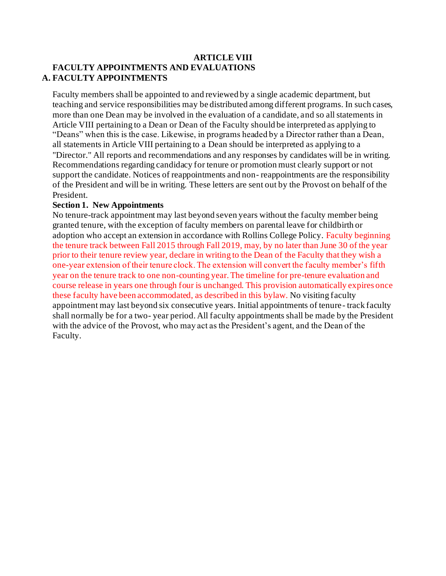### **ARTICLE VIII FACULTY APPOINTMENTS AND EVALUATIONS A. FACULTY APPOINTMENTS**

Faculty members shall be appointed to and reviewed by a single academic department, but teaching and service responsibilities may be distributed among different programs. In such cases, more than one Dean may be involved in the evaluation of a candidate, and so all statements in Article VIII pertaining to a Dean or Dean of the Faculty should be interpreted as applying to "Deans" when this is the case. Likewise, in programs headed by a Director rather than a Dean, all statements in Article VIII pertaining to a Dean should be interpreted as applying to a "Director." All reports and recommendations and any responses by candidates will be in writing. Recommendations regarding candidacy for tenure or promotion must clearly support or not support the candidate. Notices of reappointments and non- reappointments are the responsibility of the President and will be in writing. These letters are sent out by the Provost on behalf of the President.

### **Section 1. New Appointments**

No tenure-track appointment may last beyond seven years without the faculty member being granted tenure, with the exception of faculty members on parental leave for childbirth or adoption who accept an extension in accordance with Rollins College Policy. Faculty beginning the tenure track between Fall 2015 through Fall 2019, may, by no later than June 30 of the year prior to their tenure review year, declare in writing to the Dean of the Faculty that they wish a one-year extension of their tenure clock. The extension will convert the faculty member's fifth year on the tenure track to one non-counting year. The timeline for pre-tenure evaluation and course release in years one through four is unchanged. This provision automatically expires once these faculty have been accommodated, as described in this bylaw. No visiting faculty appointment may last beyond six consecutive years. Initial appointments of tenure- track faculty shall normally be for a two- year period. All faculty appointments shall be made by the President with the advice of the Provost, who may act as the President's agent, and the Dean of the Faculty.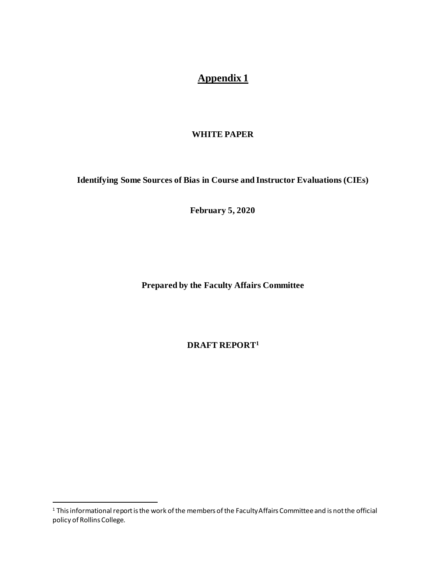# **Appendix 1**

### **WHITE PAPER**

**Identifying Some Sources of Bias in Course and Instructor Evaluations (CIEs)**

**February 5, 2020**

**Prepared by the Faculty Affairs Committee**

**DRAFT REPORT<sup>1</sup>**

<sup>1</sup> This informational report is the work of the members of the Faculty Affairs Committee and is not the official policy of Rollins College.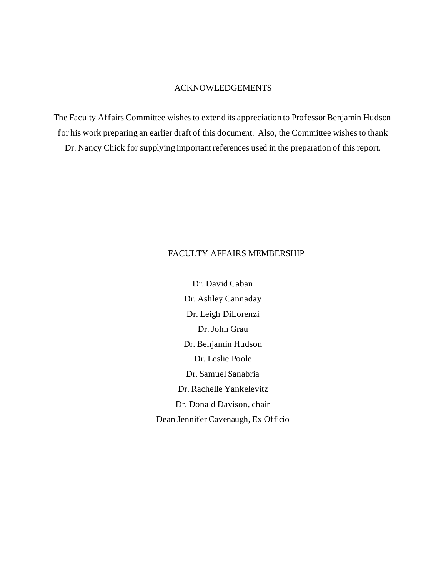### ACKNOWLEDGEMENTS

The Faculty Affairs Committee wishes to extend its appreciation to Professor Benjamin Hudson for his work preparing an earlier draft of this document. Also, the Committee wishes to thank Dr. Nancy Chick for supplying important references used in the preparation of this report.

### FACULTY AFFAIRS MEMBERSHIP

Dr. David Caban Dr. Ashley Cannaday Dr. Leigh DiLorenzi Dr. John Grau Dr. Benjamin Hudson Dr. Leslie Poole Dr. Samuel Sanabria Dr. Rachelle Yankelevitz Dr. Donald Davison, chair Dean Jennifer Cavenaugh, Ex Officio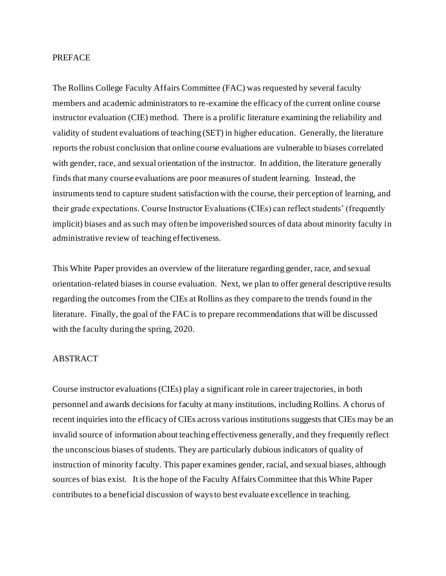#### **PREFACE**

The Rollins College Faculty Affairs Committee (FAC) was requested by several faculty members and academic administrators to re-examine the efficacy of the current online course instructor evaluation (CIE) method. There is a prolific literature examining the reliability and validity of student evaluations of teaching (SET) in higher education. Generally, the literature reports the robust conclusion that online course evaluations are vulnerable to biases correlated with gender, race, and sexual orientation of the instructor. In addition, the literature generally finds that many course evaluations are poor measures of student learning. Instead, the instruments tend to capture student satisfaction with the course, their perception of learning, and their grade expectations. Course Instructor Evaluations (CIEs) can reflect students' (frequently implicit) biases and as such may often be impoverished sources of data about minority faculty in administrative review of teaching effectiveness.

This White Paper provides an overview of the literature regarding gender, race, and sexual orientation-related biases in course evaluation. Next, we plan to offer general descriptive results regarding the outcomes from the CIEs at Rollins as they compare to the trends found in the literature. Finally, the goal of the FAC is to prepare recommendations that will be discussed with the faculty during the spring, 2020.

#### ABSTRACT

Course instructor evaluations (CIEs) play a significant role in career trajectories, in both personnel and awards decisions for faculty at many institutions, including Rollins. A chorus of recent inquiries into the efficacy of CIEs across various institutions suggests that CIEs may be an invalid source of information about teaching effectiveness generally, and they frequently reflect the unconscious biases of students. They are particularly dubious indicators of quality of instruction of minority faculty. This paper examines gender, racial, and sexual biases, although sources of bias exist. It is the hope of the Faculty Affairs Committee that this White Paper contributes to a beneficial discussion of ways to best evaluate excellence in teaching.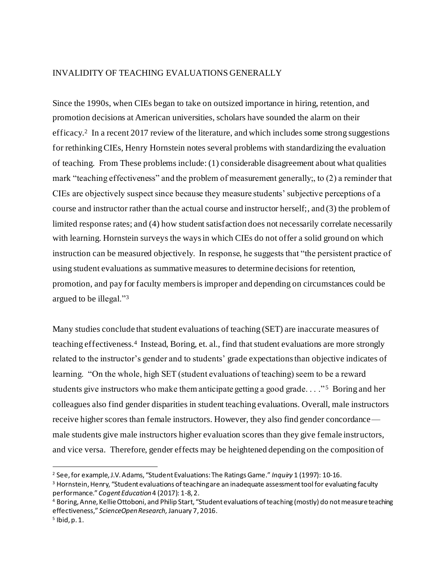### INVALIDITY OF TEACHING EVALUATIONS GENERALLY

Since the 1990s, when CIEs began to take on outsized importance in hiring, retention, and promotion decisions at American universities, scholars have sounded the alarm on their efficacy.<sup>2</sup> In a recent 2017 review of the literature, and which includes some strong suggestions for rethinking CIEs, Henry Hornstein notes several problems with standardizing the evaluation of teaching. From These problems include: (1) considerable disagreement about what qualities mark "teaching effectiveness" and the problem of measurement generally;, to (2) a reminder that CIEs are objectively suspect since because they measure students' subjective perceptions of a course and instructor rather than the actual course and instructor herself;, and (3) the problem of limited response rates; and (4) how student satisfaction does not necessarily correlate necessarily with learning. Hornstein surveys the ways in which CIEs do not offer a solid ground on which instruction can be measured objectively. In response, he suggests that "the persistent practice of using student evaluations as summative measures to determine decisions for retention, promotion, and pay for faculty members is improper and depending on circumstances could be argued to be illegal."<sup>3</sup>

Many studies conclude that student evaluations of teaching (SET) are inaccurate measures of teaching effectiveness.<sup>4</sup> Instead, Boring, et. al., find that student evaluations are more strongly related to the instructor's gender and to students' grade expectations than objective indicates of learning. "On the whole, high SET (student evaluations of teaching) seem to be a reward students give instructors who make them anticipate getting a good grade... "<sup>5</sup> Boring and her colleagues also find gender disparities in student teaching evaluations. Overall, male instructors receive higher scores than female instructors. However, they also find gender concordance male students give male instructors higher evaluation scores than they give female instructors, and vice versa. Therefore, gender effects may be heightened depending on the composition of

<sup>2</sup> See, for example, J.V. Adams, "Student Evaluations: The Ratings Game." *Inquiry* 1 (1997): 10-16.

<sup>&</sup>lt;sup>3</sup> Hornstein, Henry, "Student evaluations of teaching are an inadequate assessment tool for evaluating faculty performance." *Cogent Education*4 (2017): 1-8, 2.

<sup>4</sup> Boring, Anne, Kellie Ottoboni, and Philip Start, "Student evaluations of teaching (mostly) do not measure teaching effectiveness," *ScienceOpen Research,* January 7, 2016.

<sup>5</sup> Ibid, p. 1.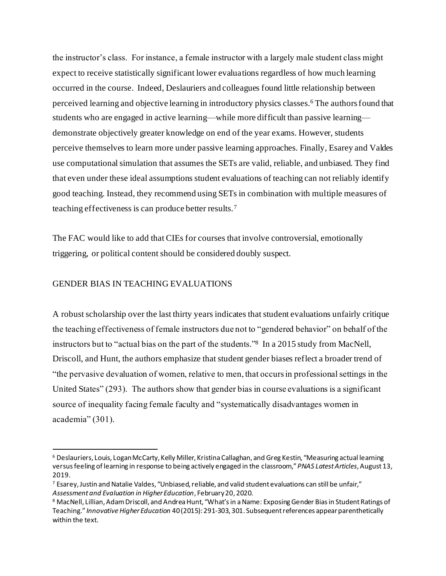the instructor's class. For instance, a female instructor with a largely male student class might expect to receive statistically significant lower evaluations regardless of how much learning occurred in the course. Indeed, Deslauriers and colleagues found little relationship between perceived learning and objective learning in introductory physics classes.<sup>6</sup> The authors found that students who are engaged in active learning—while more difficult than passive learning demonstrate objectively greater knowledge on end of the year exams. However, students perceive themselves to learn more under passive learning approaches. Finally, Esarey and Valdes use computational simulation that assumes the SETs are valid, reliable, and unbiased. They find that even under these ideal assumptions student evaluations of teaching can not reliably identify good teaching. Instead, they recommend using SETs in combination with multiple measures of teaching effectiveness is can produce better results.<sup>7</sup>

The FAC would like to add that CIEs for courses that involve controversial, emotionally triggering, or political content should be considered doubly suspect.

#### GENDER BIAS IN TEACHING EVALUATIONS

A robust scholarship over the last thirty years indicates that student evaluations unfairly critique the teaching effectiveness of female instructors due not to "gendered behavior" on behalf of the instructors but to "actual bias on the part of the students."<sup>8</sup> In a 2015 study from MacNell, Driscoll, and Hunt, the authors emphasize that student gender biases reflect a broader trend of "the pervasive devaluation of women, relative to men, that occurs in professional settings in the United States" (293). The authors show that gender bias in course evaluations is a significant source of inequality facing female faculty and "systematically disadvantages women in academia" (301).

<sup>6</sup> Deslauriers, Louis, Logan McCarty, Kelly Miller, Kristina Callaghan, and Greg Kestin, "Measuring actual learning versus feeling of learning in response to being actively engaged in the classroom," *PNAS Latest Articles*, August 13, 2019.

<sup>7</sup> Esarey, Justin and Natalie Valdes, "Unbiased, reliable, and valid student evaluations can still be unfair," *Assessment and Evaluation in Higher Education*, February 20, 2020.

<sup>8</sup> MacNell, Lillian, Adam Driscoll, and Andrea Hunt, "What's in a Name: Exposing Gender Bias in Student Ratings of Teaching." *Innovative Higher Education* 40 (2015): 291-303, 301. Subsequent references appear parenthetically within the text.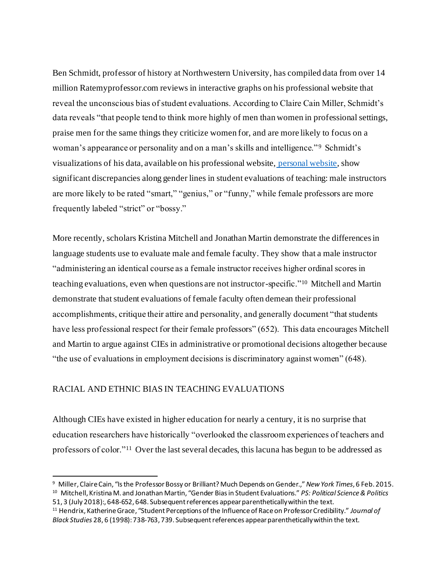Ben Schmidt, professor of history at Northwestern University, has compiled data from over 14 million Ratemyprofessor.com reviews in interactive graphs on his professional website that reveal the unconscious bias of student evaluations. According to Claire Cain Miller, Schmidt's data reveals "that people tend to think more highly of men than women in professional settings, praise men for the same things they criticize women for, and are more likely to focus on a woman's appearance or personality and on a man's skills and intelligence."<sup>9</sup> Schmidt's visualizations of his data, available on his professional website, [personal website](http://benschmidt.org/profGender/#%7B%22database%22%3A%22RMP%22%2C%22plotType%22%3A%22pointchart%22%2C%22method%22%3A%22return_json%22%2C%22search_limits%22%3A%7B%22word%22%3A%5B%22funny%22%5D%2C%22department__id%22%3A%7B%22%24lte%22%3A25%7D%7D%2C), show significant discrepancies along gender lines in student evaluations of teaching: male instructors are more likely to be rated "smart," "genius," or "funny," while female professors are more frequently labeled "strict" or "bossy."

More recently, scholars Kristina Mitchell and Jonathan Martin demonstrate the differences in language students use to evaluate male and female faculty. They show that a male instructor "administering an identical course as a female instructor receives higher ordinal scores in teaching evaluations, even when questions are not instructor-specific."<sup>10</sup> Mitchell and Martin demonstrate that student evaluations of female faculty often demean their professional accomplishments, critique their attire and personality, and generally document "that students have less professional respect for their female professors" (652). This data encourages Mitchell and Martin to argue against CIEs in administrative or promotional decisions altogether because "the use of evaluations in employment decisions is discriminatory against women" (648).

### RACIAL AND ETHNIC BIAS IN TEACHING EVALUATIONS

Although CIEs have existed in higher education for nearly a century, it is no surprise that education researchers have historically "overlooked the classroom experiences of teachers and professors of color."<sup>11</sup> Over the last several decades, this lacuna has begun to be addressed as

<sup>9</sup> Miller, Claire Cain, "Is the Professor Bossy or Brilliant? Much Depends on Gender.," *New York Times*, 6 Feb. 2015. 10 Mitchell, Kristina M. and Jonathan Martin, "Gender Bias in Student Evaluations." *PS: Political Science & Politics* 51, 3 (July 2018):, 648-652, 648. Subsequent references appear parenthetically within the text.

<sup>11</sup> Hendrix, Katherine Grace, "Student Perceptions of the Influence of Race on Professor Credibility." *Journal of Black Studies* 28, 6 (1998): 738-763, 739. Subsequent references appear parenthetically within the text.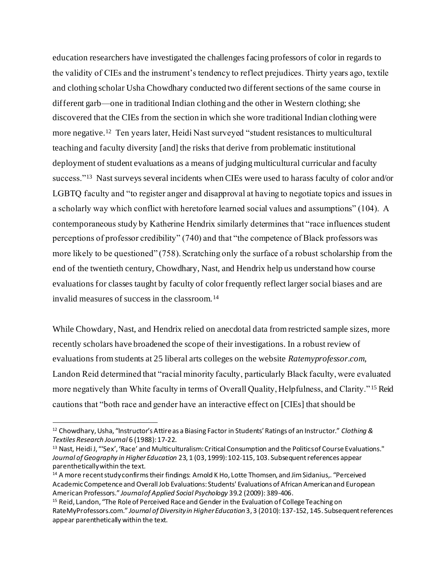education researchers have investigated the challenges facing professors of color in regards to the validity of CIEs and the instrument's tendency to reflect prejudices. Thirty years ago, textile and clothing scholar Usha Chowdhary conducted two different sections of the same course in different garb—one in traditional Indian clothing and the other in Western clothing; she discovered that the CIEs from the section in which she wore traditional Indian clothing were more negative.<sup>12</sup> Ten years later, Heidi Nast surveyed "student resistances to multicultural teaching and faculty diversity [and] the risks that derive from problematic institutional deployment of student evaluations as a means of judging multicultural curricular and faculty success."<sup>13</sup> Nast surveys several incidents when CIEs were used to harass faculty of color and/or LGBTQ faculty and "to register anger and disapproval at having to negotiate topics and issues in a scholarly way which conflict with heretofore learned social values and assumptions" (104). A contemporaneous study by Katherine Hendrix similarly determines that "race influences student perceptions of professor credibility" (740) and that "the competence of Black professors was more likely to be questioned" (758). Scratching only the surface of a robust scholarship from the end of the twentieth century, Chowdhary, Nast, and Hendrix help us understand how course evaluations for classes taught by faculty of color frequently reflect larger social biases and are invalid measures of success in the classroom.<sup>14</sup>

While Chowdary, Nast, and Hendrix relied on anecdotal data from restricted sample sizes, more recently scholars have broadened the scope of their investigations. In a robust review of evaluations from students at 25 liberal arts colleges on the website *Ratemyprofessor.com*, Landon Reid determined that "racial minority faculty, particularly Black faculty, were evaluated more negatively than White faculty in terms of Overall Quality, Helpfulness, and Clarity." <sup>15</sup> Reid cautions that "both race and gender have an interactive effect on [CIEs] that should be

<sup>12</sup> Chowdhary, Usha, "Instructor's Attire as a Biasing Factor in Students' Ratings of an Instructor." *Clothing & Textiles Research Journal* 6 (1988): 17-22.

<sup>&</sup>lt;sup>13</sup> Nast, Heidi J, "'Sex', 'Race' and Multiculturalism: Critical Consumption and the Politics of Course Evaluations." *Journal of Geography in Higher Education* 23, 1 (03, 1999): 102-115, 103. Subsequent references appear parenthetically within the text.

<sup>&</sup>lt;sup>14</sup> A more recent study confirms their findings: Arnold K Ho, Lotte Thomsen, and Jim Sidanius,. "Perceived Academic Competence and Overall Job Evaluations: Students' Evaluations of African American and European American Professors." *Journal of Applied Social Psychology* 39.2 (2009): 389-406.

<sup>15</sup> Reid, Landon, "The Role of Perceived Race and Gender in the Evaluation of College Teaching on RateMyProfessors.com." *Journal of Diversity in Higher Education* 3, 3 (2010): 137-152, 145. Subsequent references appear parenthetically within the text.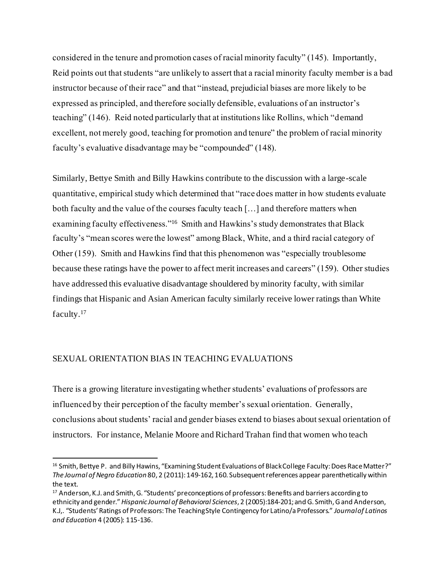considered in the tenure and promotion cases of racial minority faculty" (145). Importantly, Reid points out that students "are unlikely to assert that a racial minority faculty member is a bad instructor because of their race" and that "instead, prejudicial biases are more likely to be expressed as principled, and therefore socially defensible, evaluations of an instructor's teaching" (146). Reid noted particularly that at institutions like Rollins, which "demand excellent, not merely good, teaching for promotion and tenure" the problem of racial minority faculty's evaluative disadvantage may be "compounded" (148).

Similarly, Bettye Smith and Billy Hawkins contribute to the discussion with a large-scale quantitative, empirical study which determined that "race does matter in how students evaluate both faculty and the value of the courses faculty teach […] and therefore matters when examining faculty effectiveness."<sup>16</sup> Smith and Hawkins's study demonstrates that Black faculty's "mean scores were the lowest" among Black, White, and a third racial category of Other (159). Smith and Hawkins find that this phenomenon was "especially troublesome because these ratings have the power to affect merit increases and careers" (159). Other studies have addressed this evaluative disadvantage shouldered by minority faculty, with similar findings that Hispanic and Asian American faculty similarly receive lower ratings than White faculty.<sup>17</sup>

### SEXUAL ORIENTATION BIAS IN TEACHING EVALUATIONS

There is a growing literature investigating whether students' evaluations of professors are influenced by their perception of the faculty member's sexual orientation. Generally, conclusions about students' racial and gender biases extend to biases about sexual orientation of instructors. For instance, Melanie Moore and Richard Trahan find that women who teach

<sup>&</sup>lt;sup>16</sup> Smith, Bettye P. and Billy Hawins, "Examining Student Evaluations of Black College Faculty: Does Race Matter?" *The Journal of Negro Education* 80, 2 (2011): 149-162, 160. Subsequent references appear parenthetically within the text.

<sup>17</sup> Anderson, K.J. and Smith, G. "Students' preconceptions of professors: Benefits and barriers according to ethnicity and gender." *Hispanic Journal of Behavioral Sciences*, 2 (2005):184-201; and G. Smith, G and Anderson, K.J,. "Students' Ratings of Professors: The Teaching Style Contingency for Latino/a Professors." *Journal of Latinos and Education* 4 (2005): 115-136.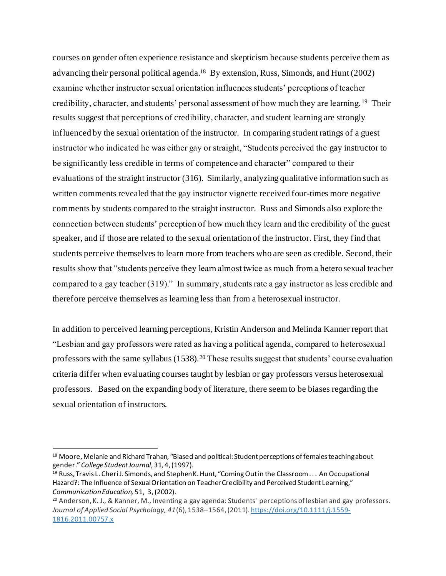courses on gender often experience resistance and skepticism because students perceive them as advancing their personal political agenda.<sup>18</sup> By extension, Russ, Simonds, and Hunt (2002) examine whether instructor sexual orientation influences students' perceptions of teacher credibility, character, and students' personal assessment of how much they are learning. <sup>19</sup> Their results suggest that perceptions of credibility, character, and student learning are strongly influenced by the sexual orientation of the instructor. In comparing student ratings of a guest instructor who indicated he was either gay or straight, "Students perceived the gay instructor to be significantly less credible in terms of competence and character" compared to their evaluations of the straight instructor (316). Similarly, analyzing qualitative information such as written comments revealed that the gay instructor vignette received four-times more negative comments by students compared to the straight instructor. Russ and Simonds also explore the connection between students' perception of how much they learn and the credibility of the guest speaker, and if those are related to the sexual orientation of the instructor. First, they find that students perceive themselves to learn more from teachers who are seen as credible. Second, their results show that "students perceive they learn almost twice as much from a heterosexual teacher compared to a gay teacher (319)." In summary, students rate a gay instructor as less credible and therefore perceive themselves as learning less than from a heterosexual instructor.

In addition to perceived learning perceptions, Kristin Anderson and Melinda Kanner report that "Lesbian and gay professors were rated as having a political agenda, compared to heterosexual professors with the same syllabus (1538).<sup>20</sup> These results suggest that students' course evaluation criteria differ when evaluating courses taught by lesbian or gay professors versus heterosexual professors. Based on the expanding body of literature, there seem to be biases regarding the sexual orientation of instructors.

<sup>&</sup>lt;sup>18</sup> Moore, Melanie and Richard Trahan, "Biased and political: Student perceptions of females teaching about gender." *College Student Journal*, 31, 4, (1997).

 $19$  Russ, Travis L. Cheri J. Simonds, and Stephen K. Hunt, "Coming Out in the Classroom . . . An Occupational Hazard?: The Influence of Sexual Orientation on Teacher Credibility and Perceived Student Learning," *Communication Education,* 51, 3, (2002).

<sup>20</sup> Anderson, K. J., & Kanner, M., Inventing a gay agenda: Students' perceptions of lesbian and gay professors. *Journal of Applied Social Psychology, 41*(6), 1538–1564, (2011)[. https://doi.org/10.1111/j.1559-](https://psycnet.apa.org/doi/10.1111/j.1559-1816.2011.00757.x) [1816.2011.00757.x](https://psycnet.apa.org/doi/10.1111/j.1559-1816.2011.00757.x)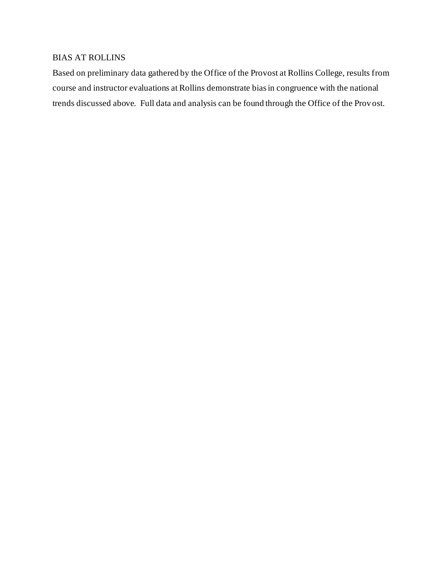### BIAS AT ROLLINS

Based on preliminary data gathered by the Office of the Provost at Rollins College, results from course and instructor evaluations at Rollins demonstrate bias in congruence with the national trends discussed above. Full data and analysis can be found through the Office of the Provost.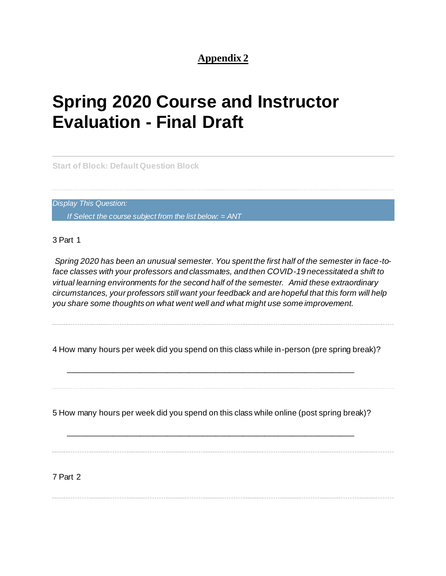# **Appendix 2**

# **Spring 2020 Course and Instructor Evaluation - Final Draft**

**Start of Block: Default Question Block**

*Display This Question: If Select the course subject from the list below: = ANT*

3 Part 1

*Spring 2020 has been an unusual semester. You spent the first half of the semester in face-toface classes with your professors and classmates, and then COVID-19 necessitated a shift to virtual learning environments for the second half of the semester. Amid these extraordinary circumstances, your professors still want your feedback and are hopeful that this form will help you share some thoughts on what went well and what might use some improvement.*

4 How many hours per week did you spend on this class while in-person (pre spring break)?

5 How many hours per week did you spend on this class while online (post spring break)?

\_\_\_\_\_\_\_\_\_\_\_\_\_\_\_\_\_\_\_\_\_\_\_\_\_\_\_\_\_\_\_\_\_\_\_\_\_\_\_\_\_\_\_\_\_\_\_\_\_\_\_\_\_\_\_\_\_\_\_\_\_\_\_\_

\_\_\_\_\_\_\_\_\_\_\_\_\_\_\_\_\_\_\_\_\_\_\_\_\_\_\_\_\_\_\_\_\_\_\_\_\_\_\_\_\_\_\_\_\_\_\_\_\_\_\_\_\_\_\_\_\_\_\_\_\_\_\_\_

7 Part 2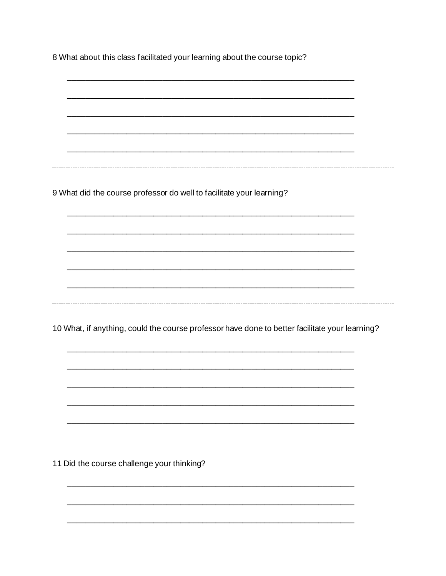8 What about this class facilitated your learning about the course topic?

9 What did the course professor do well to facilitate your learning? 10 What, if anything, could the course professor have done to better facilitate your learning?

11 Did the course challenge your thinking?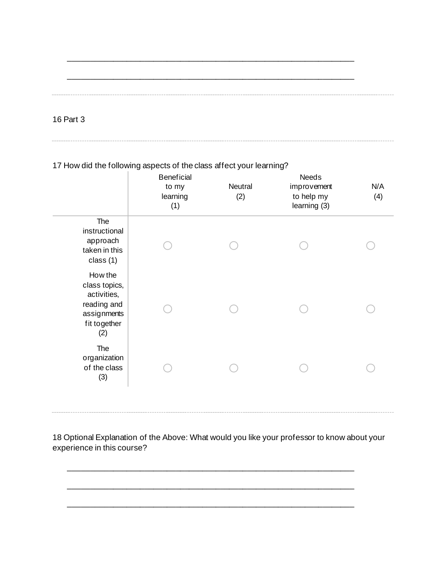\_\_\_\_\_\_\_\_\_\_\_\_\_\_\_\_\_\_\_\_\_\_\_\_\_\_\_\_\_\_\_\_\_\_\_\_\_\_\_\_\_\_\_\_\_\_\_\_\_\_\_\_\_\_\_\_\_\_\_\_\_\_\_\_

16 Part 3

### 17 How did the following aspects of the class affect your learning?

|                                                                                              | <b>Beneficial</b><br>to my<br>learning<br>(1) | Neutral<br>(2) | Needs<br>improvement<br>to help my<br>learning (3) | N/A<br>(4) |
|----------------------------------------------------------------------------------------------|-----------------------------------------------|----------------|----------------------------------------------------|------------|
| The<br>instructional<br>approach<br>taken in this<br>class (1)                               |                                               |                |                                                    |            |
| How the<br>class topics,<br>activities,<br>reading and<br>assignments<br>fit together<br>(2) |                                               |                |                                                    |            |
| The<br>organization<br>of the class<br>(3)                                                   |                                               |                |                                                    |            |

18 Optional Explanation of the Above: What would you like your professor to know about your experience in this course?